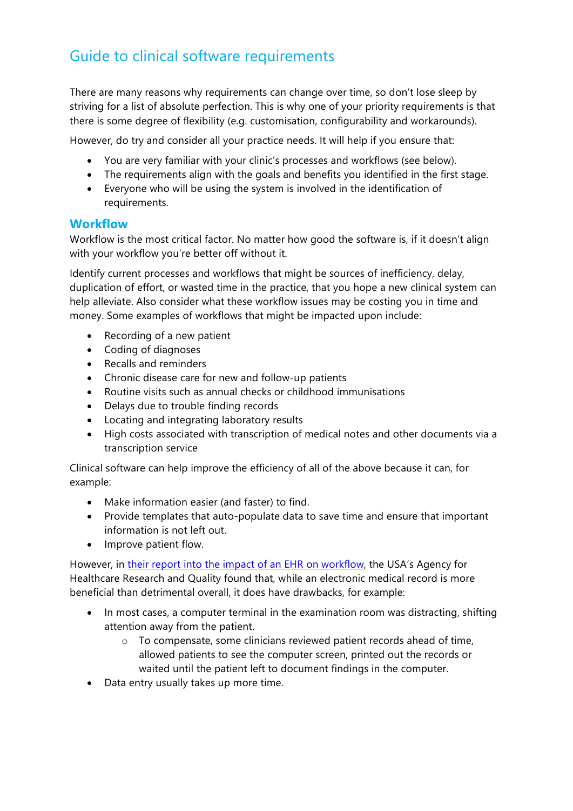# Guide to clinical software requirements

There are many reasons why requirements can change over time, so don't lose sleep by striving for a list of absolute perfection. This is why one of your priority requirements is that there is some degree of flexibility (e.g. customisation, configurability and workarounds).

However, do try and consider all your practice needs. It will help if you ensure that:

- You are very familiar with your clinic's processes and workflows (see below).
- The requirements align with the goals and benefits you identified in the first stage.
- Everyone who will be using the system is involved in the identification of requirements.

#### **Workflow**

Workflow is the most critical factor. No matter how good the software is, if it doesn't align with your workflow you're better off without it.

Identify current processes and workflows that might be sources of inefficiency, delay, duplication of effort, or wasted time in the practice, that you hope a new clinical system can help alleviate. Also consider what these workflow issues may be costing you in time and money. Some examples of workflows that might be impacted upon include:

- Recording of a new patient
- Coding of diagnoses
- Recalls and reminders
- Chronic disease care for new and follow-up patients
- Routine visits such as annual checks or childhood immunisations
- Delays due to trouble finding records
- Locating and integrating laboratory results
- High costs associated with transcription of medical notes and other documents via a transcription service

Clinical software can help improve the efficiency of all of the above because it can, for example:

- Make information easier (and faster) to find.
- Provide templates that auto-populate data to save time and ensure that important information is not left out.
- Improve patient flow.

However, in their report into the impact of an EHR on workflow, the USA's Agency for Healthcare Research and Quality found that, while an electronic medical record is more beneficial than detrimental overall, it does have drawbacks, for example:

- In most cases, a computer terminal in the examination room was distracting, shifting attention away from the patient.
	- o To compensate, some clinicians reviewed patient records ahead of time, allowed patients to see the computer screen, printed out the records or waited until the patient left to document findings in the computer.
- Data entry usually takes up more time.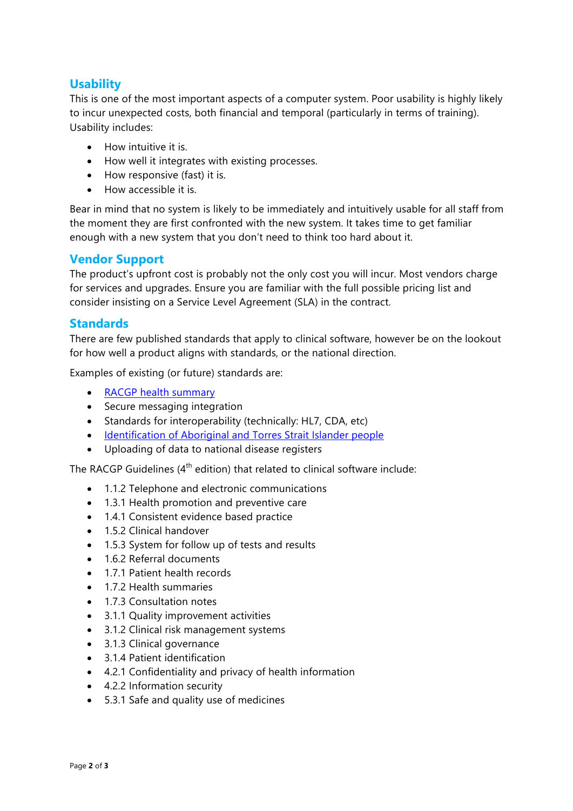## **Usability**

This is one of the most important aspects of a computer system. Poor usability is highly likely to incur unexpected costs, both financial and temporal (particularly in terms of training). Usability includes:

- How intuitive it is.
- How well it integrates with existing processes.
- How responsive (fast) it is.
- How accessible it is.

Bear in mind that no system is likely to be immediately and intuitively usable for all staff from the moment they are first confronted with the new system. It takes time to get familiar enough with a new system that you don't need to think too hard about it.

#### **Vendor Support**

The product's upfront cost is probably not the only cost you will incur. Most vendors charge for services and upgrades. Ensure you are familiar with the full possible pricing list and consider insisting on a Service Level Agreement (SLA) in the contract.

#### **Standards**

There are few published standards that apply to clinical software, however be on the lookout for how well a product aligns with standards, or the national direction.

Examples of existing (or future) standards are:

- RACGP health summary
- Secure messaging integration
- Standards for interoperability (technically: HL7, CDA, etc)
- Identification of Aboriginal and Torres Strait Islander people
- Uploading of data to national disease registers

The RACGP Guidelines  $(4<sup>th</sup>$  edition) that related to clinical software include:

- 1.1.2 Telephone and electronic communications
- 1.3.1 Health promotion and preventive care
- 1.4.1 Consistent evidence based practice
- 1.5.2 Clinical handover
- 1.5.3 System for follow up of tests and results
- 1.6.2 Referral documents
- 1.7.1 Patient health records
- 1.7.2 Health summaries
- 1.7.3 Consultation notes
- 3.1.1 Quality improvement activities
- 3.1.2 Clinical risk management systems
- 3.1.3 Clinical governance
- 3.1.4 Patient identification
- 4.2.1 Confidentiality and privacy of health information
- 4.2.2 Information security
- 5.3.1 Safe and quality use of medicines